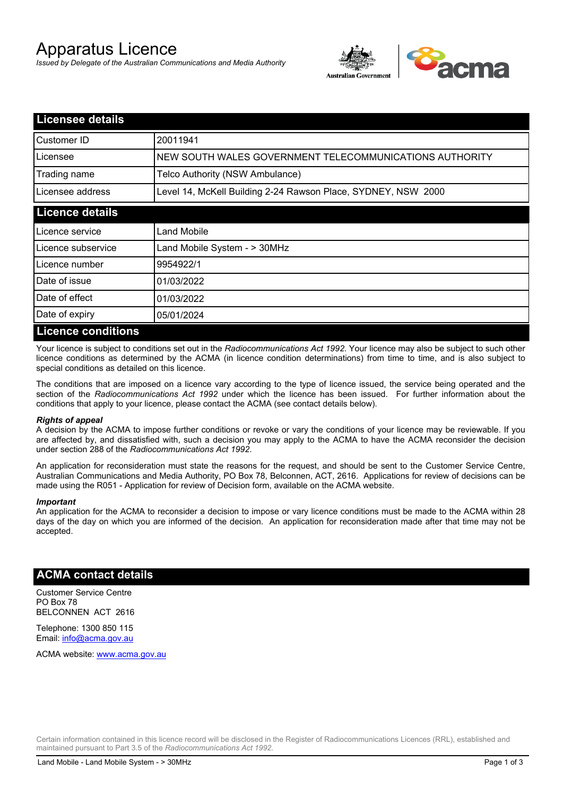# Apparatus Licence

*Issued by Delegate of the Australian Communications and Media Authority*



| <b>Licensee details</b>   |                                                               |
|---------------------------|---------------------------------------------------------------|
| Customer ID               | 20011941                                                      |
| Licensee                  | NEW SOUTH WALES GOVERNMENT TELECOMMUNICATIONS AUTHORITY       |
| Trading name              | Telco Authority (NSW Ambulance)                               |
| Licensee address          | Level 14, McKell Building 2-24 Rawson Place, SYDNEY, NSW 2000 |
| <b>Licence details</b>    |                                                               |
| Licence service           | Land Mobile                                                   |
| Licence subservice        | Land Mobile System - > 30MHz                                  |
| Licence number            | 9954922/1                                                     |
| Date of issue             | 01/03/2022                                                    |
| Date of effect            | 01/03/2022                                                    |
| Date of expiry            | 05/01/2024                                                    |
| <b>Licence conditions</b> |                                                               |

Your licence is subject to conditions set out in the *Radiocommunications Act 1992*. Your licence may also be subject to such other licence conditions as determined by the ACMA (in licence condition determinations) from time to time, and is also subject to special conditions as detailed on this licence.

The conditions that are imposed on a licence vary according to the type of licence issued, the service being operated and the section of the *Radiocommunications Act 1992* under which the licence has been issued. For further information about the conditions that apply to your licence, please contact the ACMA (see contact details below).

#### *Rights of appeal*

A decision by the ACMA to impose further conditions or revoke or vary the conditions of your licence may be reviewable. If you are affected by, and dissatisfied with, such a decision you may apply to the ACMA to have the ACMA reconsider the decision under section 288 of the *Radiocommunications Act 1992*.

An application for reconsideration must state the reasons for the request, and should be sent to the Customer Service Centre, Australian Communications and Media Authority, PO Box 78, Belconnen, ACT, 2616. Applications for review of decisions can be made using the R051 - Application for review of Decision form, available on the ACMA website.

#### *Important*

An application for the ACMA to reconsider a decision to impose or vary licence conditions must be made to the ACMA within 28 days of the day on which you are informed of the decision. An application for reconsideration made after that time may not be accepted.

### **ACMA contact details**

Customer Service Centre PO Box 78 BELCONNEN ACT 2616

Telephone: 1300 850 115 Email: info@acma.gov.au

ACMA website: www.acma.gov.au

Certain information contained in this licence record will be disclosed in the Register of Radiocommunications Licences (RRL), established and maintained pursuant to Part 3.5 of the *Radiocommunications Act 1992.*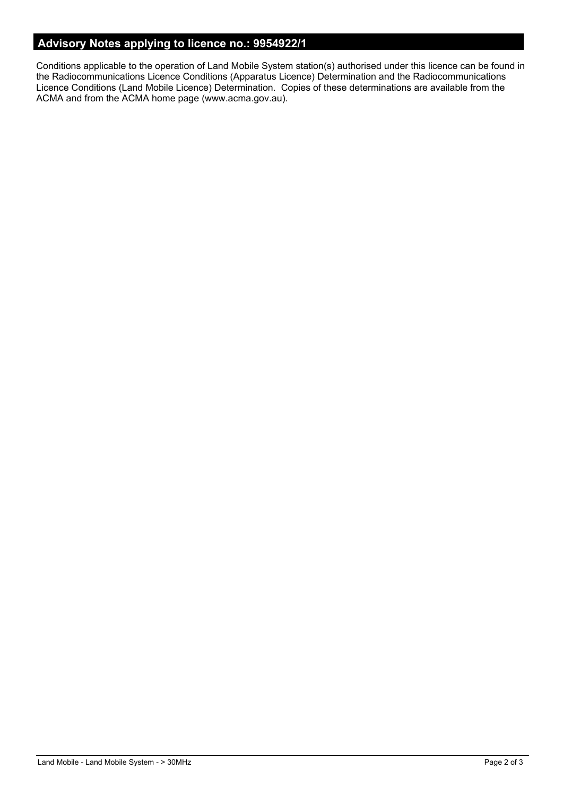# **Advisory Notes applying to licence no.: 9954922/1**

Conditions applicable to the operation of Land Mobile System station(s) authorised under this licence can be found in the Radiocommunications Licence Conditions (Apparatus Licence) Determination and the Radiocommunications Licence Conditions (Land Mobile Licence) Determination. Copies of these determinations are available from the ACMA and from the ACMA home page (www.acma.gov.au).